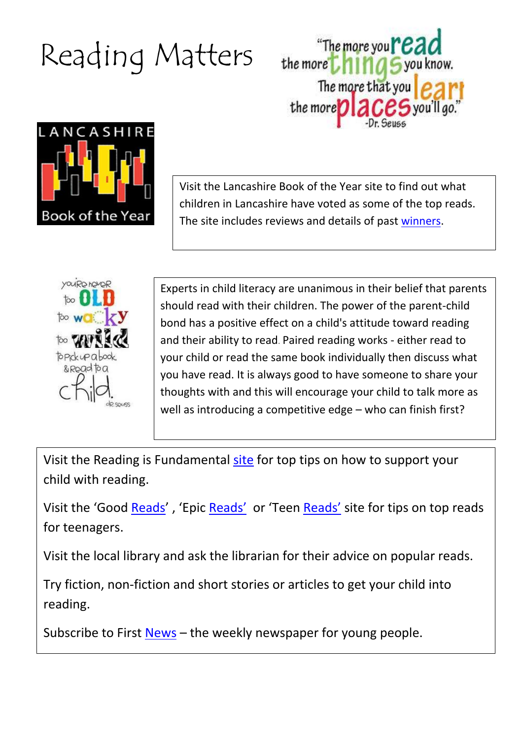## Reading Matters





Visit the Lancashire Book of the Year site to find out what children in Lancashire have voted as some of the top reads. The site includes reviews and details of past [winners.](http://new.lancashire.gov.uk/libraries-and-archives/libraries/lancashires-book-of-the-year-2014.aspx)



Experts in child literacy are unanimous in their belief that parents should read with their children. The power of the parent-child bond has a positive effect on a child's attitude toward reading and their ability to read. Paired reading works - either read to your child or read the same book individually then discuss what you have read. It is always good to have someone to share your thoughts with and this will encourage your child to talk more as well as introducing a competitive edge – who can finish first?

Visit the Reading is Fundamental [site](http://www.rif.org/us/literacy-resources/articles/teenagers-and-reading.htm) for top tips on how to support your child with reading.

Visit the 'Good [Reads](https://www.goodreads.com/list/tag/teen)', 'Epic [Reads](http://www.teenreads.com/)' or 'Teen Reads' site for tips on top reads for teenagers.

Visit the local library and ask the librarian for their advice on popular reads.

Try fiction, non-fiction and short stories or articles to get your child into reading.

Subscribe to First [News](http://www.firstnews.co.uk/) – the weekly newspaper for young people.